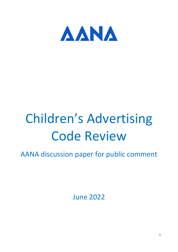

# Children's Advertising Code Review

AANA discussion paper for public comment

June 2022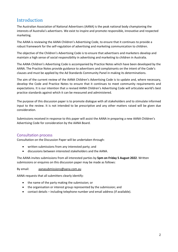# Introduction

The Australian Association of National Advertisers (AANA) is the peak national body championing the interests of Australia's advertisers. We exist to inspire and promote responsible, innovative and respected marketing.

The AANA is reviewing the AANA Children's Advertising Code, to ensure that it continues to provide a robust framework for the self-regulation of advertising and marketing communication to children.

The objective of the Children's Advertising Code is to ensure that advertisers and marketers develop and maintain a high sense of social responsibility in advertising and marketing to children in Australia.

The AANA Children's Advertising Code is accompanied by Practice Notes which have been developed by the AANA. The Practice Notes provide guidance to advertisers and complainants on the intent of the Code's clauses and must be applied by the Ad Standards Community Panel in making its determinations.

The aim of the current review of the AANA Children's Advertising Code is to update and, where necessary, develop the Code and Practice Notes to ensure that it continues to meet community requirements and expectations. It is our intention that a revised AANA Children's Advertising Code will articulate world's best practice standards against which it can be measured and administered.

The purpose of this discussion paper is to promote dialogue with all stakeholders and to stimulate informed input to the review. It is not intended to be prescriptive and any other matters raised will be given due consideration.

Submissions received in response to this paper will assist the AANA in preparing a new AANA Children's Advertising Code for consideration by the AANA Board.

## Consultation process

Consultation on the Discussion Paper will be undertaken through:

- written submissions from any interested party; and
- discussions between interested stakeholders and the AANA.

The AANA invites submissions from all interested parties by **5pm on Friday 5 August 2022**. Written submissions or enquires on this discussion paper may be made as follows:

By email: [aanasubmissions@aana.com.au](mailto:aanasubmissions@aana.com.au)

AANA requests that all submitters clearly identify:

- the name of the party making the submission; or
- the organisation or interest group represented by the submission; and
- contact details including telephone number and email address (if available).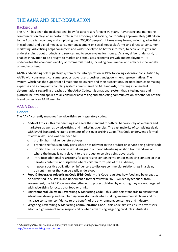# THE AANA AND SELF-REGULATION

## Background

The AANA has been the peak national body for advertisers for over 90 years. Advertising and marketing communication plays an important role in the economy and society, contributing approximately \$40 billion to the Australian economy and employing over 200,000 people<sup>1</sup>. It takes many forms, including advertising in traditional and digital media, consumer engagement on social media platforms and direct-to-consumer marketing. Advertising helps consumers and wider society to be better informed, to achieve insights and understanding about products and services and to secure value for money. As a key driver of demand, it enables innovation to be brought to market and stimulates economic growth and employment. It underwrites the economic viability of commercial media, including news media, and enhances the variety of media content.

AANA's advertising self-regulatory system came into operation in 1997 following extensive consultation by AANA with consumers, consumer groups, advertisers, business and government representatives. The system, which has the support of all major media owners and their associations, includes both code making expertise and a complaints handling system administered by Ad Standards, providing independent determinations regarding breaches of the AANA Codes. It is a national system that is technology and platform neutral and applies to all consumer advertising and marketing communication, whether or not the brand owner is an AANA member.

## AANA Codes

## General

The AANA currently manages five advertising self-regulatory codes:

- **Code of Ethics** this over-arching Code sets the standard for ethical behaviour by advertisers and marketers as well as by advertising and marketing agencies. The vast majority of complaints dealt with by Ad Standards relate to elements of this over-arching Code. This Code underwent a formal review in 2019 and was amended to:
	- o prohibit harmful gender stereotypes;
	- $\circ$  prohibit the focus on body parts where not relevant to the product or service being advertised;
	- $\circ$  prohibit the use of overtly sexual images in outdoor advertising or shop front windows or where the image is not relevant to the product or service being advertised;
	- $\circ$  introduce additional restrictions for advertising containing violent or menacing content so that harmful content is not displayed where children form part of the audience;
	- o impose a positive obligation on influencers to disclose commercial relationships in a clear, upfront manner that can be easily understood.
- **Food & Beverages Advertising Code (F&B Code)** this Code regulates how food and beverages can be advertised in Australia and underwent a formal review in 2020. Guided by feedback from government, the F&B Code was strengthened to protect children by ensuring they are not targeted with advertising for occasional food or drinks.
- **Environmental Claims in Advertising & Marketing Code** this Code sets standards to ensure that advertisers develop and maintain rigorous standards when making environmental claims and to increase consumer confidence to the benefit of the environment, consumers and industry.
- **Wagering Advertising & Marketing Communication Code** this Code aims to ensure advertisers adopt a high sense of social responsibility when advertising wagering products in Australia.

<sup>&</sup>lt;sup>1</sup> Advertising Pays: the economic, employment and business value of advertising, June 2016 <http://www.advertisingpays.com.au/>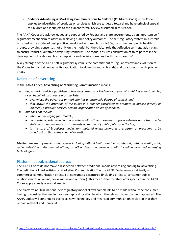• **Code for Advertising & Marketing Communications to Children (Children's Code)** – this Code applies to advertising of products or services which are targeted toward and have principal appeal to Children and is subject to the current formal review discussed in this Paper.

The AANA Codes are acknowledged and supported by Federal and state governments as an important selfregulatory mechanism to assist in achieving public policy outcomes. The self-regulatory system in Australia is rooted in the model of best practice developed with regulators, NGOs, consumer and public health groups, providing consensus not only on the model but the critical role that effective self-regulation plays to ensure robust qualitative advertising standards. The model ensures consultation of third parties in the development of codes and both complaints and decisions are dealt with transparently<sup>2</sup>.

A key strength of the AANA self-regulatory system is the commitment to regular review and evolution of the Codes to maintain universality (application to all media and all brands) and to address specific problem areas.

## Definition of advertising

In the AANA Codes, **Advertising or Marketing Communication** means:

- *a. any material which is published or broadcast using any Medium or any activity which is undertaken by, or on behalf of an advertiser or marketer,*
	- *over which the advertiser or marketer has a reasonable degree of control, and*
	- *that draws the attention of the public in a manner calculated to promote or oppose directly or indirectly a product, service, person, organisation or line of conduct,*
- *b. but does not include*
	- *labels or packaging for products,*
	- *corporate reports including corporate public affairs messages in press releases and other media statements, annual reports, statements on matters of public policy and the like,*
	- *in the case of broadcast media, any material which promotes a program or programs to be broadcast on that same channel or station.*

**Medium** means *any medium whatsoever including without limitation cinema, internet, outdoor media, print, radio, television, telecommunications, or other direct-to-consumer media including new and emerging technologies*.

## Platform neutral, national approach

The AANA Codes do not make a distinction between traditional media advertising and digital advertising. The definition of "Advertising or Marketing Communication" in the AANA Codes ensures virtually all commercial communication directed at consumers is captured (including direct-to-consumer public relations material, online, social media and outdoor). This means that the standards specified in the AANA Codes apply equally across all media.

The platform neutral, national self-regulatory model allows complaints to be made without the consumer having to consider the medium or geographical location in which the relevant advertisement appeared. The AANA Codes will continue to evolve as new technology and means of communication evolve so that they remain relevant and universal.

<sup>2</sup> [http://www.easa-alliance.org/;](http://www.easa-alliance.org/)<https://iccwbo.org/publication/icc-advertising-and-marketing-communications-code/>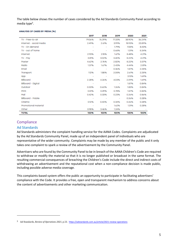The table below shows the number of cases considered by the Ad Standards Community Panel according to media type<sup>3</sup>.

**ANALYSIS OF CASES BY MEDIA (%)** 

|                         | 2017                         | 2018                     | 2019                     | 2020                     | 2021   |
|-------------------------|------------------------------|--------------------------|--------------------------|--------------------------|--------|
| TV - Free-to-air        | 79.06%                       | 76.39%                   | 71.33%                   | 38.90%                   | 36.24% |
| Internet - social media | 2.49%                        | 2.61%                    | 3.99%                    | 15.93%                   | 23.59% |
| TV - On demand          | $\overline{\phantom{a}}$     | ۰                        | 1.79%                    | 7.05%                    | 8.43%  |
| TV - out of home        | $\overline{\phantom{a}}$     | ٠                        | 0.65%                    | 1.31%                    | 5.34%  |
| Internet                | 2.93%                        | 2.15%                    | 1.67%                    | 5.48%                    | 4.21%  |
| $TV - Pay$              | 3.81%                        | 3.02%                    | 3.40%                    | 5.22%                    | 4.21%  |
| Poster                  | 4.62%                        | 2.76%                    | 2.82%                    | 5.22%                    | 3.37%  |
| Radio                   | 1.37%                        | 1.67%                    | 2.43%                    | 4.44%                    | 2.81%  |
| Email                   | $\qquad \qquad \blacksquare$ | $\overline{\phantom{a}}$ | 0.36%                    | 1.57%                    | 2.25%  |
| Transport               | 1.12%                        | 1.85%                    | 2.05%                    | 2.61%                    | 2.25%  |
| App                     | $\qquad \qquad \blacksquare$ | $\overline{\phantom{a}}$ | $\overline{\phantom{a}}$ | 3.13%                    | 1.69%  |
| Billboard               | 2.28%                        | 4.26%                    | 4.03%                    | 2.09%                    | 1.69%  |
| Bilboard - Digital      | $\overline{\phantom{a}}$     | $\sim$                   | $\overline{\phantom{a}}$ | 1.57%                    | 0.84%  |
| Outdoor                 | 0.33%                        | 0.60%                    | 1.26%                    | 1.83%                    | 0.84%  |
| <b>Print</b>            | 0.51%                        | 0.49%                    | 0.78%                    | 1,57%                    | 0.84%  |
| Mail                    | 0.42%                        | 0.33%                    | 0.23%                    | 0.26%                    | 0.56%  |
| Billboard - Mobile      | $\overline{\phantom{a}}$     | $\overline{\phantom{a}}$ | $\overline{\phantom{a}}$ | 0.26%                    | 0.28%  |
| Cinema                  | 0.12%                        | 0.40%                    | 0.34%                    | 0.26%                    | 0.28%  |
| Promotional material    | $\overline{\phantom{a}}$     | $\overline{\phantom{a}}$ | 1.62%                    | 1.31%                    | 0.28%  |
| Other                   | 0.95%                        | 3.46%                    | 1.24%                    | $\overline{\phantom{a}}$ |        |
| <b>TOTAL</b>            | 100%                         | 100%                     | 100%                     | 100%                     | 100%   |

## **Compliance**

### Ad Standards

Ad Standards administers the complaint handling service for the AANA Codes. Complaints are adjudicated by the Ad Standards Community Panel, made up of an independent panel of individuals who are representative of the wider community. Complaints may be made by any member of the public and it only takes one complaint to spark a review of the advertisement by the Community Panel.

Advertisers who are found by the Community Panel to be in breach of the AANA Children's Code are required to withdraw or modify the material so that it is no longer published or broadcast in the same format. The resulting commercial consequences of breaching the Children's Code include the direct and indirect costs of withdrawing an advertisement and the reputational cost when a non-compliance decision is made public, including possible adverse media coverage.

This complaints-based system offers the public an opportunity to participate in facilitating advertisers' compliance with the Code. It provides a free, open and transparent mechanism to address concerns about the content of advertisements and other marketing communication.

<sup>3</sup> Ad Standards, *Review of Operations 2021*, p 23. <https://adstandards.com.au/article/2021-review-operations>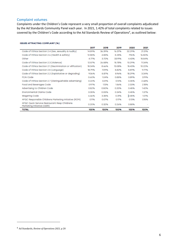## Complaint volumes

Complaints under the Children's Code represent a very small proportion of overall complaints adjudicated by the Ad Standards Community Panel each year. In 2021, 1.42% of total complaints related to issues covered by the Children's Code according to the Ad Standards Review of Operations<sup>4</sup>, as outlined below:

| <b>ISSUES ATTRACTING COMPLAINT (%)</b> |  |  |  |  |
|----------------------------------------|--|--|--|--|
|----------------------------------------|--|--|--|--|

|                                                                             | 2017   | 2018   | 2019   | 2020   | 2021   |
|-----------------------------------------------------------------------------|--------|--------|--------|--------|--------|
| Code of Ethics Section 2.4 (Sex, sexuality & nudity)                        | 14.59% | 36.39% | 16.37% | 32.29% | 21.31% |
| Code of Ethics Section 2.6 (Health & safety)                                | 12.55% | 4.83%  | 5.25%  | 796%   | 16.50% |
| Other                                                                       | 4.77%  | 3.72%  | 33.91% | 4.43%  | 15.54% |
| Code of Ethics Section 2.3 (Violence)                                       | 12.57% | 26.58% | 15.78% | 10.29% | 11.34% |
| Code of Ethics Section 2.1 (Discrimination or vilification)                 | 18.34% | 8.66%  | 13.08% | 15.43% | 10.22% |
| Code of Ethics Section 2.5 (Language)                                       | 18.79% | 7.09%  | 5.82%  | 5.59%  | 9.77%  |
| Code of Ethics Section 2.2 (Exploitative or degrading)                      | 9.06%  | 5.87%  | 5.96%  | 18.29% | 3.34%  |
| FCAI Code                                                                   | 0.60%  | 1.04%  | 0.85%  | 0.89%  | 3.19%  |
| Code of Ethics Section 2.7 (Distinguishable advertising)                    | 0.22%  | 0.41%  | 0.14%  | 0.45%  | 2.68%  |
| Food and Beverages Code                                                     | 0.97%  | 1.13%  | 1.56%  | 2.33%  | 2.18%  |
| Advertising to Children Code                                                | 0.52%  | 0.50%  | 0.20%  | 0.45%  | 1.42%  |
| Environmental Claims Code                                                   | 0.05%  | 0.05%  | 0.34%  | 0.45%  | 1.37%  |
| Wagering Code                                                               | 6.66%  | 3.35%  | 0.31%  | D.45%  | 1.01%  |
| AFGC Responsible Childrens Marketing Initiative (RCMI)                      | 0.11%  | 0.07%  | 0.17%  | 0.13%  | 0.15%  |
| AFGC Quick Service Restaurant Resp Childrens<br>Marketing Initiative (QSRI) | 0.20%  | 0.32%  | 0.26%  | 0.58%  |        |
| <b>TOTAL</b>                                                                | 100%   | 100%   | 100%   | 100%   | 100%   |

<sup>4</sup> Ad Standards, *Review of Operations 2021*, p 20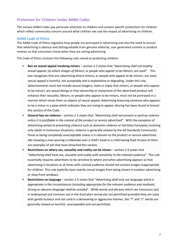## Protection for Children Under AANA Codes

The various AANA Codes pay particular attention to children and contain specific protections for children which reflect community concern around what children see and the impact of advertising on children.

#### AANA Code of Ethics

The AANA Code of Ethics regulates how people are portrayed in advertising and also the need to ensure that advertising is obvious and distinguishable from genuine editorial, user generated content or product reviews so that consumers know when they are seeing advertising.

The Code of Ethics contains the following rules aimed at protecting children:

- **Ban on sexual appeal involving minors** section 2.2 states that *"Advertising shall not employ sexual appeal: (a) where images of Minors, or people who appear to be Minors, are used".* This ban recognises that any advertising where minors, or people who appear to be minors, are used, sexual appeal is harmful, not acceptable and is exploitative or degrading. Under this rule, advertisements must not include sexual imagery, state or imply that minors, or people who appear to be minors, are sexual beings or that ownership or enjoyment of the advertised product will enhance their sexuality. Minors, or people who appear to be minors, must not be portrayed in a manner which treats them as objects of sexual appeal. Advertising featuring someone who appears to be a minor in a pose which indicates they are trying to appear alluring has been found to breach this section of the Code.
- **General ban on violence** section 2.3 states that *"Advertising shall not present or portray violence unless it is justifiable in the context of the product or service advertised".* With the exception of advertising aimed at preventing violence such as domestic violence or harmless horseplay involving only adults in humorous situations, violence is generally viewed by the Ad Standards Community Panel as being completely unacceptable unless it is relevant to the product or service advertised. Ads showing a man pouring a milkshake over a child's head or a child having food thrown at them are examples of ads that have breached this section.
- **Restrictions on where sex, sexuality and nudity can be shown** section 2.4 states that *"Advertising shall treat sex, sexuality and nudity with sensitivity to the relevant audience*". This rule essentially requires advertisers to be sensitive to where and when advertising appears so that advertising in locations or at times with a broad audience should not contain images inappropriate for children. This rule explicitly bans overtly sexual images from being shown in outdoor advertising or shop front windows.
- **Restrictions on language** section 2.5 states that "*Advertising shall only use language which is appropriate in the circumstances (including appropriate for the relevant audience and medium). Strong or obscene language shall be avoided*". While words and phrases which are innocuous and in widespread and common use in the Australian vernacular are permitted provided they are used with gentle humour and not used in a demeaning or aggressive manner, the "f" and "c" words are generally viewed as harmful, unacceptable and not permitted.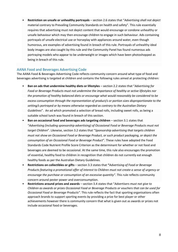• **Restriction on unsafe or unhealthy portrayals** – section 2.6 states that "*Advertising shall not depict*  material contrary to Prevailing Community Standards on health and safety". This rule essentially requires that advertising must not depict content that would encourage or condone unhealthy or unsafe behaviour which may then encourage children to engage in such behaviour. Ads containing portrayals of unsafe electrical use or horseplay with appliances around water, even though humorous, are examples of advertising found in breach of this rule. Portrayals of unhealthy ideal body images are also caught by this rule and the Community Panel has found numerous ads portraying models who appear to be underweight or images which have been photoshopped as being in breach of this rule.

#### AANA Food and Beverages Advertising Code

The AANA Food & Beverages Advertising Code reflects community concern around what type of food and beverages advertising is targeted at children and contains the following rules aimed at protecting children:

- **Ban on ads that undermine healthy diets or lifestyles**  section 2.2 states that "*Advertising for Food or Beverage Products must not undermine the importance of healthy or active lifestyles nor the promotion of healthy balanced diets or encourage what would reasonably be considered to be excess consumption through the representation of product/s or portion sizes disproportionate to the setting/s portrayed or by means otherwise regarded as contrary to the Australian Dietary Guidelines*". An ad which promoted a selection of bread rolls, including sweet rolls, as being a suitable school lunch was found in breach of this section.
- **Ban on occasional food and beverages ads targeting children** section 3.1 states that "*Advertising (including sponsorship advertising) of Occasional Food or Beverage Products must not target Children*". Likewise, section 3.2 states that "*Sponsorship advertising that targets children must not show an Occasional Food or Beverage Product, or such product packaging, or depict the consumption of an Occasional Food or Beverage Product*". These rules have adopted the Food Standards Code Nutrient Profile Score Criterion as the determinant for whether or not food and beverages are deemed to be occasional. At the same time, this rule also encourages the promotion of essential, healthy food to children in recognition that children do not currently eat enough healthy foods as per the Australian Dietary Guidelines.
- **Restrictions on collectibles or gifts**  section 3.3 states that **"***Advertising of Food or Beverage Products featuring a promotional offer of interest to Children must not create a sense of urgency or encourage the purchase or consumption of an excessive quantity"*. This rule reflects community concern around pester power and overconsumption.
- **Restrictions around prizes and awards** section 3.4 states that "*Advertisers must not give to Children as awards or prizes Occasional Food or Beverage Products or vouchers that can be used for Occasional Food or Beverage Products"*. This rule reflects the fact that sporting organisations often approach brands to support sporting events by providing a prize for best player or other achievements however there is community concern that what is given out as awards or prizes not include occasional food or beverages.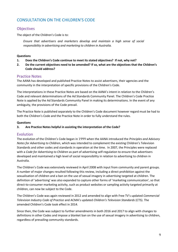## CONSULTATION ON THE CHILDREN'S CODE

## **Objectives**

The object of the Children's Code is to:

*Ensure that advertisers and marketers develop and maintain a high sense of social responsibility in advertising and marketing to children in Australia.* 

#### **Questions**

- **1. Does the Children's Code continue to meet its stated objectives? If not, why not?**
- **2. Do the current objectives need to be amended? If so, what are the objectives that the Children's Code should address?**

## Practice Notes

The AANA has developed and published Practice Notes to assist advertisers, their agencies and the community in the interpretation of specific provisions of the Children's Code.

The interpretations in these Practice Notes are based on the AANA's intent in relation to the Children's Code and relevant determinations of the Ad Standards Community Panel. The Children's Code Practice Note is applied by the Ad Standards Community Panel in making its determinations. In the event of any ambiguity, the provisions of the Code prevail.

The Practice Note is published separately to the Children's Code document however regard must be had to both the Children's Code and the Practice Note in order to fully understand the rules.

#### **Questions**

#### **3. Are Practice Notes helpful in assisting the interpretation of the Code?**

## Evolution

The evolution of the Children's Code began in 1999 when the AANA introduced the *Principles and Advisory Notes for Advertising to Children*, which was intended to complement the existing Children's Television Standards and other codes and standards in operation at the time. In 2007, the Principles were replaced with a *Code for Advertising to Children* as part of advertising self-regulation to ensure that advertisers developed and maintained a high level of social responsibility in relation to advertising to children in Australia.

The Children's Code was extensively reviewed in April 2008 with input from community and parent groups. A number of major changes resulted following this review, including a direct prohibition against the sexualisation of children and a ban on the use of sexual imagery in advertising targeted at children. The definition of 'advertising' was also expanded to capture other forms of 'marketing communication', so that direct-to-consumer marketing activity, such as product websites or sampling activity targeted primarily at children, can now be subject to the Code.

The Children's Code was again reviewed in 2012 and amended to align with Free TV's updated *Commercial Television Industry Code of Practice* and ACMA's updated *Children's Television Standards* (CTS). The amended Children's Code took effect in 2014.

Since then, the Code was subject to further amendments in both 2016 and 2017 to align with changes to definitions in other Codes and impose a blanket ban on the use of sexual imagery in advertising to children, regardless of prevailing community standards.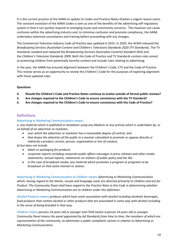It is the current practice of the AANA to update its Codes and Practice Notes if/when a cogent reason exists. The constant evolution of the AANA Codes is seen as one of the benefits of the advertising self-regulatory system in that it can quickly respond to emerging issues and community concerns. This however can cause confusion within the advertising industry and, to minimise confusion and promote compliance, the AANA undertakes extensive consultation and training before proceeding with any changes.

The *Commercial Television Industry Code of Practice* was updated in 2015. In 2020, the ACMA released the *Broadcasting Services (Australian Content and Children's Television) Standards 2020 (TV Standards)*. The TV Standards revoked and replaced the *Broadcasting Services (Australian Content) Standard* 2016 and the *Children's Television Standards 2009*. Both the Code of Practice and TV Standards contain rules aimed at protecting children from potentially harmful content and include rules relating to advertising.

In the past, the AANA has ensured alignment between the Children's Code, CTS and the Code of Practice. This review serves as an opportunity to review the Children's Code for the purposes of exploring alignment with these updated rules.

#### **Questions**

- **4. Should the Children's Code and Practice Notes continue to evolve outside of formal public reviews?**
- **5. Are changes required to the Children's Code to ensure consistency with the TV Standard?**
- **6. Are changes required to the Children's Code to ensure consistency with the Code of Practice?**

## Definitions

#### Advertising or Marketing Communications means:

*a. any material which is published or broadcast using any Medium or any activity which is undertaken by, or on behalf of an advertiser or marketer,*

- *over which the advertiser or marketer has a reasonable degree of control, and*
- *that draws the attention of the public in a manner calculated to promote or oppose directly or indirectly a product, service, person, organisation or line of conduct,*
- *b) but does not include*
	- *labels or packaging for products*
	- *corporate reports including corporate public affairs messages in press releases and other media statements, annual reports, statements on matters of public policy and the like*
	- *in the case of broadcast media, any material which promotes a program or programs to be broadcast on that same channel or station.*

Advertising or Marketing Communication to Children means *Advertising or Marketing Communication which, having regard to the theme, visuals and language used, are directed primarily to Children and are for Product. The Community Panel shall have regard to the Practice Note to this Code in determining whether Advertising or Marketing Communication are to children under this definition*.

Alcohol Products means *products which have some association with alcohol including alcoholic beverages, food products that contain alcohol or other products that are associated in some way with alcohol including in the sense of being branded in that way.*

Children means *persons 14 years old or younger and Child means a person 14 years old or younger. Community Panel means the panel appointed by Ad Standards from time to time, the members of which are representative of the community, to administer a public complaints system in relation to Advertising or Marketing Communication.*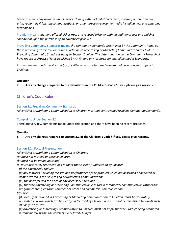Medium means *any medium whatsoever including without limitation cinema, internet, outdoor media, print, radio, television, telecommunications, or other direct-to-consumer media including new and emerging technologies.*

Premium means *anything offered either free, at a reduced price, or with an additional cost and which is conditional upon the purchase of an advertised product.*

Prevailing Community Standards means *the community standards determined by the Community Panel as those prevailing at the relevant time in relation to Advertising or Marketing Communication to Children. Prevailing Community Standards apply to Section 2 below. The determination by the Community Panel shall have regard to Practice Notes published by AANA and any research conducted by the Ad Standards.*

Product means *goods, services and/or facilities which are targeted toward and have principal appeal to Children.*

#### **Question**

**7. Are any changes required to the definitions in the Children's Code? If yes, please give reasons.**

## Children's Code Rules

#### Section 2.1 Prevailing Community Standards

*Advertising or Marketing Communication to Children must not contravene Prevailing Community Standards*.

#### Complaints Under Section 2.1

There are very few complaints made under this section and there have been no recent breaches.

#### **Question**

**8. Are any changes required to Section 2.1 of the Children's Code? If yes, please give reasons.**

#### Section 2.2 - Factual Presentation

*Advertising or Marketing Communication to Children:*

*(a) must not mislead or deceive Children;*

*(b) must not be ambiguous; and*

*(c) must accurately represent, in a manner that is clearly understood by Children:*

*(i) the advertised Product;*

*(ii) any features (including the size and performance of the product) which are described or depicted or demonstrated in the Advertising or Marketing Communication;*

*(iii) the need for and the price of any accessory parts; and*

*(iv) that the Advertising or Marketing Communication is in fact a commercial communication rather than program content, editorial comment or other non commercial communication.*

*(d) Price*

*(i) Prices, if mentioned in Advertising or Marketing Communication to Children, must be accurately presented in a way which can be clearly understood by Children and must not be minimised by words such as "only" or "just";*

*(ii) Advertising or Marketing Communication to Children must not imply that the Product being promoted is immediately within the reach of every family budget.*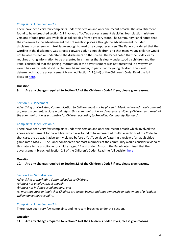There have been very few complaints under this section and only one recent breach. The advertisement found to have breached section 2.2 involved a YouTube advertisement depicting four plastic miniature versions of food products available as collectibles from a grocery store. The Community Panel noted that the voiceover to the advertisement did not mention prices although the advertisement included disclaimers on screen with text large enough to read on a computer screen. The Panel considered that the wording in the disclaimers was targeted towards adults, not children, and that many young children would not be able to read or understand the disclaimers on the screen. The Panel noted that the Code clearly requires pricing information to be presented in a manner that is clearly understood by children and the Panel considered that the pricing information in the advertisement was not presented in a way which would be clearly understood by children 14 and under, in particular by young children. The Panel determined that the advertisement breached Section 2.2 (d) (i) of the Children's Code. Read the full decision [here.](https://adstandards.com.au/sites/default/files/reports/0116-20_0.pdf)

#### **Question**

**9. Are any changes required to Section 2.2 of the Children's Code? If yes, please give reasons.**

#### Section 2.3 - Placement

*Advertising or Marketing Communication to Children must not be placed in Media where editorial comment or program content, in close proximity to that communication, or directly accessible by Children as a result of the communication, is unsuitable for Children according to Prevailing Community Standards.*

#### Complaints Under Section 2.3

There have been very few complaints under this section and only one recent breach which involved the above advertisement for collectibles which was found to have breached multiple sections of the Code. In that case, the ad was inadvertently played before a YouTube video featuring a review of an adult video game rated MA15+. The Panel considered that most members of the community would consider a video of this nature to be unsuitable for children aged 14 and under. As such, the Panel determined that the advertisement breached Section 2.3 of the Children's Code. Read the full decision [here.](https://adstandards.com.au/sites/default/files/reports/0116-20_0.pdf)

#### **Question**

**10. Are any changes required to Section 2.3 of the Children's Code? If yes, please give reasons.**

#### Section 2.4 - Sexualisation

*Advertising or Marketing Communication to Children:*

*(a) must not employ sexual appeal;*

*(b) must not include sexual imagery; and*

*(c) must not state or imply that Children are sexual beings and that ownership or enjoyment of a Product will enhance their sexuality.*

#### Complaints Under Section 2.4

There have been very few complaints and no recent breaches under this section.

#### **Question**

**11. Are any changes required to Section 2.4 of the Children's Code? If yes, please give reasons.**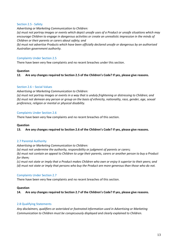#### Section 2.5 - Safety

*Advertising or Marketing Communication to Children: (a) must not portray images or events which depict unsafe uses of a Product or unsafe situations which may encourage Children to engage in dangerous activities or create an unrealistic impression in the minds of Children or their parents or carers about safety; and*

*(b) must not advertise Products which have been officially declared unsafe or dangerous by an authorised Australian government authority.*

#### Complaints Under Section 2.5

There have been very few complaints and no recent breaches under this section.

#### **Question**

**12. Are any changes required to Section 2.5 of the Children's Code? If yes, please give reasons.**

#### Section 2.6 – Social Values

*Advertising or Marketing Communication to Children: (a) must not portray images or events in a way that is unduly frightening or distressing to Children; and (b) must not demean any person or group on the basis of ethnicity, nationality, race, gender, age, sexual preference, religion or mental or physical disability.*

#### Complaints Under Section 2.6

There have been very few complaints and no recent breaches of this section.

#### **Question**

**13. Are any changes required to Section 2.6 of the Children's Code? If yes, please give reasons.**

#### 2.7 Parental Authority

*Advertising or Marketing Communication to Children:*

*(a) must not undermine the authority, responsibility or judgment of parents or carers;*

*(b) must not contain an appeal to Children to urge their parents, carers or another person to buy a Product for them;*

*(c) must not state or imply that a Product makes Children who own or enjoy it superior to their peers; and*

*(d) must not state or imply that persons who buy the Product are more generous than those who do not.*

#### Complaints Under Section 2.7

There have been very few complaints and no recent breaches of this section.

#### **Question**

**14. Are any changes required to Section 2.7 of the Children's Code? If yes, please give reasons.**

#### 2.8 Qualifying Statements

*Any disclaimers, qualifiers or asterisked or footnoted information used in Advertising or Marketing Communication to Children must be conspicuously displayed and clearly explained to Children.*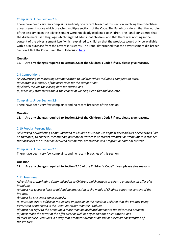There have been very few complaints and only one recent breach of this section involving the collectibles advertisement above which breached multiple sections of the Code. The Panel considered that the wording of the disclaimers in the advertisement were not clearly explained to children. The Panel considered that the disclaimers used language which targeted adults, not children, and that there was nothing in the content of the advertisement itself which explained to children that the products would only be available with a \$30 purchase from the advertiser's stores. The Panel determined that the advertisement did breach Section 2.8 of the Code. Read the full decisio[n here.](https://adstandards.com.au/sites/default/files/reports/0116-20_0.pdf)

#### **Question**

**15. Are any changes required to Section 2.8 of the Children's Code? If yes, please give reasons.**

#### 2.9 Competitions

*An Advertising or Marketing Communication to Children which includes a competition must: (a) contain a summary of the basic rules for the competition; (b) clearly include the closing date for entries; and (c) make any statements about the chance of winning clear, fair and accurate.*

#### Complaints Under Section 2.9

There have been very few complaints and no recent breaches of this section.

#### **Question**

**16. Are any changes required to Section 2.9 of the Children's Code? If yes, please give reasons.**

#### 2.10 Popular Personalities

*Advertising or Marketing Communication to Children must not use popular personalities or celebrities (live or animated) to endorse, recommend, promote or advertise or market Products or Premiums in a manner that obscures the distinction between commercial promotions and program or editorial content.*

#### Complaints Under Section 2.10

There have been very few complaints and no recent breaches of this section.

#### **Question**

**17. Are any changes required to Section 2.10 of the Children's Code? If yes, please give reasons.**

#### 2.11 Premiums

*Advertising or Marketing Communication to Children, which include or refer to or involve an offer of a Premium:*

*(a) must not create a false or misleading impression in the minds of Children about the content of the Product;*

*(b) must be presented conspicuously;*

*(c) must not create a false or misleading impression in the minds of Children that the product being advertised or marketed is the Premium rather than the Product;*

*(d) must not refer to the premium in more than an incidental manner to the advertised product;*

*(e) must make the terms of the offer clear as well as any conditions or limitations; and*

*(f) must not use Premiums in a way that promotes irresponsible use or excessive consumption of the Product.*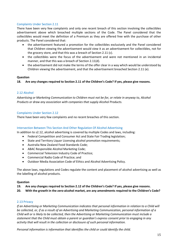There have been very few complaints and only one recent breach of this section involving the collectibles advertisement above which breached multiple sections of the Code. The Panel considered that the collectibles would meet the definition of a Premium as they are offered free with the purchase of other products. The Panel considered that:

- the advertisement featured a promotion for the collectibles exclusively and the Panel considered that Children viewing the advertisement would view it as an advertisement for collectibles, not for the grocery store, and that this was a breach of Section 2.11 (c).
- the collectibles were the focus of the advertisement and were not mentioned in an incidental manner, and that this was a breach of Section 2.11(d).
- the advertisement did not make the terms of the offer clear in a way which would be understood by Children viewing the advertisement, and that the advertisement breached Section 2.11 (e).

#### **Question**

**18. Are any changes required to Section 2.11 of the Children's Code? If yes, please give reasons.**

#### 2.12 Alcohol

*Advertising or Marketing Communication to Children must not be for, or relate in anyway to, Alcohol Products or draw any association with companies that supply Alcohol Products.*

#### Complaints Under Section 2.12

There have been very few complaints and no recent breaches of this section.

#### Intersection Between This Section And Other Regulation Of Alcohol Advertising

In addition to s2.12, alcohol advertising is covered by multiple Codes and laws, including:

- Federal Competition and Consumer Act and State Fair Trading legislation;
- State and Territory Liquor Licensing alcohol promotion requirements;
- Australia New Zealand Food Standards Code;
- ABAC Responsible Alcohol Marketing Code;
- Commercial Television Industry Code of Practice;
- Commercial Radio Code of Practice; and
- Outdoor Media Association Code of Ethics and Alcohol Advertising Policy.

The above laws, regulations and Codes regulate the content and placement of alcohol advertising as well as the labelling of alcohol products.

#### **Question**

**19. Are any changes required to Section 2.12 of the Children's Code? If yes, please give reasons.**

**20. With the growth in the zero-alcohol market, are any amendments required to the Children's Code?**

#### 2.13 Privacy

*If an Advertising or Marketing Communication indicates that personal information in relation to a Child will be collected, or, if as a result of an Advertising and Marketing Communication, personal information of a Child will or is likely to be collected, then the Advertising or Marketing Communication must include a statement that the Child must obtain a parent or guardian's express consent prior to engaging in any activity that will result in the collection or disclosure of such personal information.*

*Personal information is information that identifies the child or could identify the child.*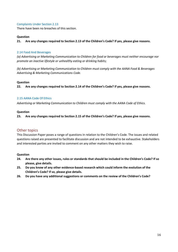There have been no breaches of this section.

#### **Question**

**21. Are any changes required to Section 2.13 of the Children's Code? If yes, please give reasons.**

#### 2.14 Food And Beverages

*(a) Advertising or Marketing Communication to Children for food or beverages must neither encourage nor promote an inactive lifestyle or unhealthy eating or drinking habits;*

*(b) Advertising or Marketing Communication to Children must comply with the AANA Food & Beverages Advertising & Marketing Communications Code.*

#### **Question**

**22. Are any changes required to Section 2.14 of the Children's Code? If yes, please give reasons.**

#### 2.15 AANA Code Of Ethics

*Advertising or Marketing Communication to Children must comply with the AANA Code of Ethics.*

#### **Question**

**23. Are any changes required to Section 2.15 of the Children's Code? If yes, please give reasons.**

#### Other topics

This Discussion Paper poses a range of questions in relation to the Children's Code. The issues and related questions raised are presented to facilitate discussion and are not intended to be exhaustive. Stakeholders and interested parties are invited to comment on any other matters they wish to raise.

#### **Question**

- **24. Are there any other issues, rules or standards that should be included in the Children's Code? If so please, give details.**
- **25. Do you know of any other evidence-based research which could inform the evolution of the Children's Code? If so, please give details.**
- **26. Do you have any additional suggestions or comments on the review of the Children's Code?**